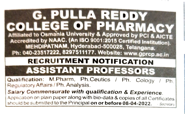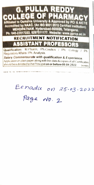

Benadu on 15-03-2022

Page no. 2